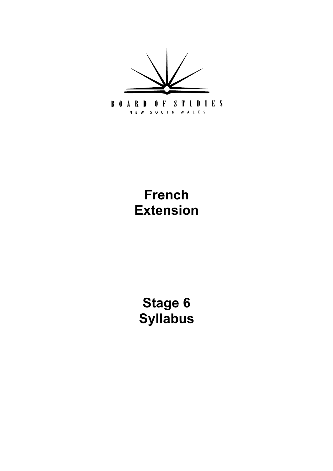

# **French Extension**

**[Stage 6](#page-5-0) Syllabus**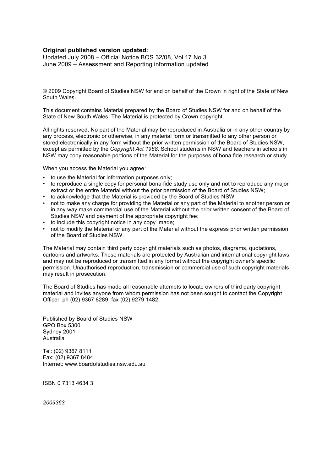#### **Original published version updated:**

Updated July 2008 – Official Notice BOS 32/08, Vol 17 No 3 June 2009 – Assessment and Reporting information updated

 © 2009 Copyright Board of Studies NSW for and on behalf of the Crown in right of the State of New South Wales.

 This document contains Material prepared by the Board of Studies NSW for and on behalf of the State of New South Wales. The Material is protected by Crown copyright.

 All rights reserved. No part of the Material may be reproduced in Australia or in any other country by any process, electronic or otherwise, in any material form or transmitted to any other person or stored electronically in any form without the prior written permission of the Board of Studies NSW, except as permitted by the *Copyright Act 1968*. School students in NSW and teachers in schools in NSW may copy reasonable portions of the Material for the purposes of bona fide research or study.

When you access the Material you agree:

- • to use the Material for information purposes only;
- • to reproduce a single copy for personal bona fide study use only and not to reproduce any major extract or the entire Material without the prior permission of the Board of Studies NSW;
- • to acknowledge that the Material is provided by the Board of Studies NSW.
- • not to make any charge for providing the Material or any part of the Material to another person or in any way make commercial use of the Material without the prior written consent of the Board of Studies NSW and payment of the appropriate copyright fee;
- to include this copyright notice in any copy made;
- • not to modify the Material or any part of the Material without the express prior written permission of the Board of Studies NSW.

 The Material may contain third party copyright materials such as photos, diagrams, quotations, cartoons and artworks. These materials are protected by Australian and international copyright laws and may not be reproduced or transmitted in any format without the copyright owner's specific permission. Unauthorised reproduction, transmission or commercial use of such copyright materials may result in prosecution.

 The Board of Studies has made all reasonable attempts to locate owners of third party copyright material and invites anyone from whom permission has not been sought to contact the Copyright Officer, ph (02) 9367 8289, fax (02) 9279 1482.

 Published by Board of Studies NSW GPO Box 5300 Sydney 2001 Australia

 Tel: (02) 9367 8111 Fax: (02) 9367 8484 Internet: www.boardofstudies.nsw.edu.au

ISBN 0 7313 4634 3

*2009363*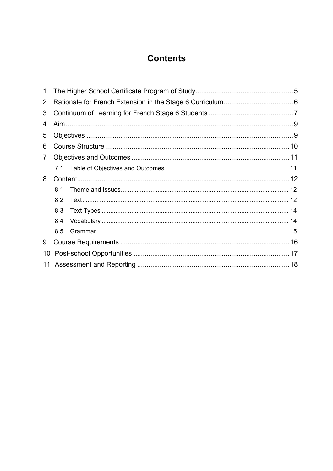# **Contents**

| 1  |     |  |  |  |  |
|----|-----|--|--|--|--|
| 2  |     |  |  |  |  |
| 3  |     |  |  |  |  |
| 4  |     |  |  |  |  |
| 5  |     |  |  |  |  |
| 6  |     |  |  |  |  |
| 7  |     |  |  |  |  |
|    |     |  |  |  |  |
| 8  |     |  |  |  |  |
|    | 8.1 |  |  |  |  |
|    | 8.2 |  |  |  |  |
|    | 8.3 |  |  |  |  |
|    | 8.4 |  |  |  |  |
|    | 8.5 |  |  |  |  |
| 9  |     |  |  |  |  |
| 10 |     |  |  |  |  |
|    |     |  |  |  |  |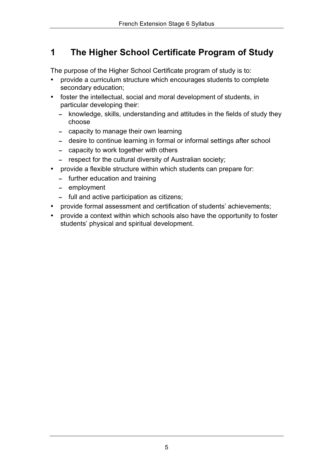#### <span id="page-4-0"></span> **The Higher School Certificate Program of Study 1**

The purpose of the Higher School Certificate program of study is to:

- provide a curriculum structure which encourages students to complete secondary education;
- foster the intellectual, social and moral development of students, in particular developing their:
	- - knowledge, skills, understanding and attitudes in the fields of study they choose
	- capacity to manage their own learning
	- desire to continue learning in formal or informal settings after school
	- capacity to work together with others
	- respect for the cultural diversity of Australian society;
- provide a flexible structure within which students can prepare for:
	- further education and training
	- employment
	- full and active participation as citizens;
- • provide formal assessment and certification of students' achievements;
- provide a context within which schools also have the opportunity to foster students' physical and spiritual development.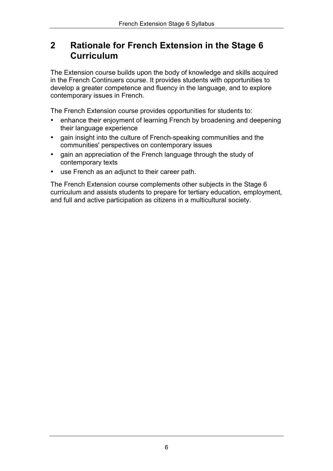#### <span id="page-5-0"></span> **Rationale for French Extension in the Stage 6 2 Curriculum**

 The Extension course builds upon the body of knowledge and skills acquired in the French Continuers course. It provides students with opportunities to develop a greater competence and fluency in the language, and to explore contemporary issues in French.

The French Extension course provides opportunities for students to:

- enhance their enjoyment of learning French by broadening and deepening their language experience
- • gain insight into the culture of French-speaking communities and the communities' perspectives on contemporary issues
- gain an appreciation of the French language through the study of contemporary texts
- use French as an adjunct to their career path.

 The French Extension course complements other subjects in the Stage 6 curriculum and assists students to prepare for tertiary education, employment, and full and active participation as citizens in a multicultural society.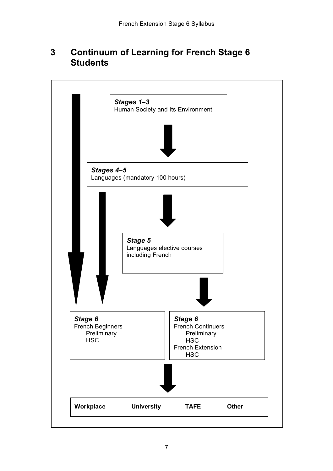#### **Continuum of Learning for French Stage 6 3 Students**

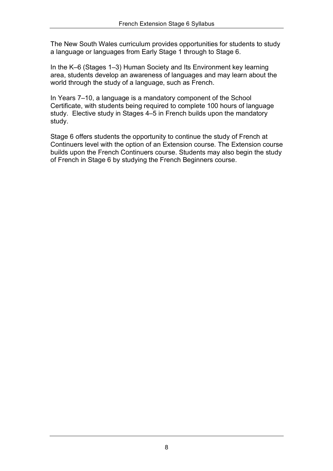The New South Wales curriculum provides opportunities for students to study a language or languages from Early Stage 1 through to Stage 6.

 In the K–6 (Stages 1–3) Human Society and Its Environment key learning area, students develop an awareness of languages and may learn about the world through the study of a language, such as French.

 In Years 7–10, a language is a mandatory component of the School Certificate, with students being required to complete 100 hours of language study. Elective study in Stages 4–5 in French builds upon the mandatory study.

 Stage 6 offers students the opportunity to continue the study of French at Continuers level with the option of an Extension course. The Extension course builds upon the French Continuers course. Students may also begin the study of French in Stage 6 by studying the French Beginners course.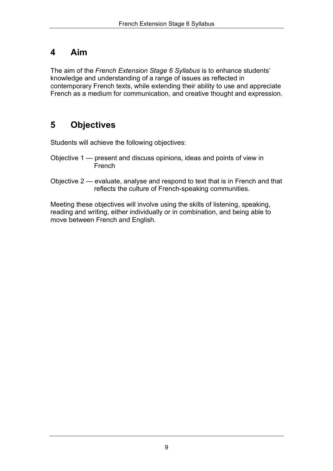### <span id="page-8-0"></span>**4 Aim**

 The aim of the *French Extension Stage 6 Syllabus* is to enhance students' knowledge and understanding of a range of issues as reflected in contemporary French texts, while extending their ability to use and appreciate French as a medium for communication, and creative thought and expression.

# **5 Objectives**

Students will achieve the following objectives:

- Objective 1 present and discuss opinions, ideas and points of view in French
- Objective 2 evaluate, analyse and respond to text that is in French and that reflects the culture of French-speaking communities.

 Meeting these objectives will involve using the skills of listening, speaking, reading and writing, either individually or in combination, and being able to move between French and English.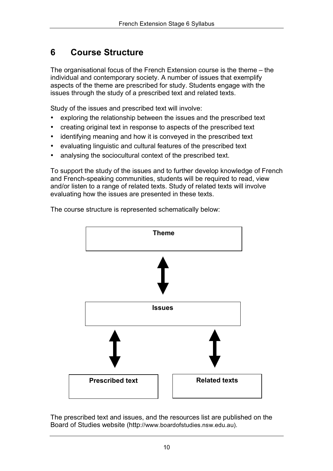#### <span id="page-9-0"></span>**6 Course Structure**

 The organisational focus of the French Extension course is the theme – the individual and contemporary society. A number of issues that exemplify aspects of the theme are prescribed for study. Students engage with the issues through the study of a prescribed text and related texts.

Study of the issues and prescribed text will involve:

- exploring the relationship between the issues and the prescribed text
- creating original text in response to aspects of the prescribed text
- identifying meaning and how it is conveyed in the prescribed text
- evaluating linguistic and cultural features of the prescribed text
- analysing the sociocultural context of the prescribed text.

 To support the study of the issues and to further develop knowledge of French and French-speaking communities, students will be required to read, view and/or listen to a range of related texts. Study of related texts will involve evaluating how the issues are presented in these texts.

The course structure is represented schematically below:



 The prescribed text and issues, and the resources list are published on the Board of Studies website (http://www.boardofstudies.nsw.edu.au).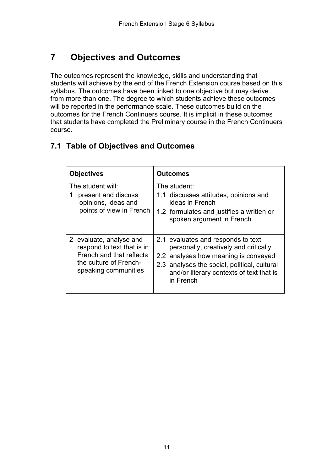#### **Objectives and Outcomes 7**

 The outcomes represent the knowledge, skills and understanding that students will achieve by the end of the French Extension course based on this syllabus. The outcomes have been linked to one objective but may derive from more than one. The degree to which students achieve these outcomes will be reported in the performance scale. These outcomes build on the outcomes for the French Continuers course. It is implicit in these outcomes that students have completed the Preliminary course in the French Continuers course.

### **7.1 Table of Objectives and Outcomes**

| <b>Objectives</b>                                                                                                                   | <b>Outcomes</b>                                                                                                                                                                                                              |  |  |
|-------------------------------------------------------------------------------------------------------------------------------------|------------------------------------------------------------------------------------------------------------------------------------------------------------------------------------------------------------------------------|--|--|
| The student will:<br>present and discuss<br>1<br>opinions, ideas and<br>points of view in French                                    | The student:<br>1.1 discusses attitudes, opinions and<br>ideas in French<br>1.2 formulates and justifies a written or<br>spoken argument in French                                                                           |  |  |
| 2 evaluate, analyse and<br>respond to text that is in<br>French and that reflects<br>the culture of French-<br>speaking communities | 2.1 evaluates and responds to text<br>personally, creatively and critically<br>2.2 analyses how meaning is conveyed<br>2.3 analyses the social, political, cultural<br>and/or literary contexts of text that is<br>in French |  |  |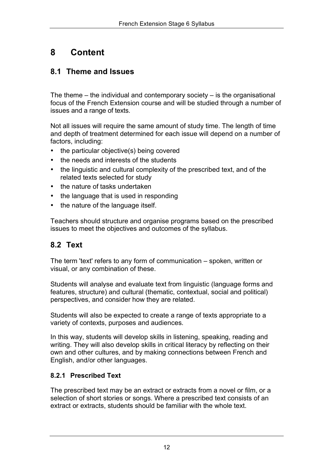# <span id="page-11-0"></span>**8 Content**

### **8.1 Theme and Issues**

 The theme – the individual and contemporary society – is the organisational focus of the French Extension course and will be studied through a number of issues and a range of texts.

 Not all issues will require the same amount of study time. The length of time and depth of treatment determined for each issue will depend on a number of factors, including:

- the particular objective(s) being covered
- the needs and interests of the students
- the linguistic and cultural complexity of the prescribed text, and of the related texts selected for study
- the nature of tasks undertaken
- the language that is used in responding
- the nature of the language itself.

 Teachers should structure and organise programs based on the prescribed issues to meet the objectives and outcomes of the syllabus.

### **8.2 Text**

 The term 'text' refers to any form of communication – spoken, written or visual, or any combination of these.

 Students will analyse and evaluate text from linguistic (language forms and features, structure) and cultural (thematic, contextual, social and political) perspectives, and consider how they are related.

 Students will also be expected to create a range of texts appropriate to a variety of contexts, purposes and audiences.

 In this way, students will develop skills in listening, speaking, reading and writing. They will also develop skills in critical literacy by reflecting on their own and other cultures, and by making connections between French and English, and/or other languages.

#### **8.2.1 Prescribed Text**

 The prescribed text may be an extract or extracts from a novel or film, or a selection of short stories or songs. Where a prescribed text consists of an extract or extracts, students should be familiar with the whole text.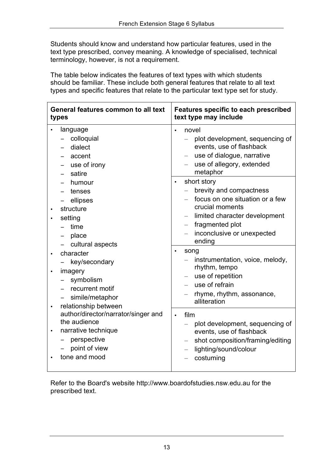Students should know and understand how particular features, used in the text type prescribed, convey meaning. A knowledge of specialised, technical terminology, however, is not a requirement.

 The table below indicates the features of text types with which students should be familiar. These include both general features that relate to all text types and specific features that relate to the particular text type set for study.

| General features common to all text<br>types                                                                                                            | <b>Features specific to each prescribed</b><br>text type may include                                                                                                                                                       |
|---------------------------------------------------------------------------------------------------------------------------------------------------------|----------------------------------------------------------------------------------------------------------------------------------------------------------------------------------------------------------------------------|
| language<br>colloquial<br>dialect<br>accent<br>use of irony<br>satire                                                                                   | novel<br>plot development, sequencing of<br>events, use of flashback<br>use of dialogue, narrative<br>use of allegory, extended<br>metaphor                                                                                |
| humour<br>tenses<br>ellipses<br>structure<br>setting<br>time<br>place<br>cultural aspects                                                               | short story<br>$\bullet$<br>brevity and compactness<br>focus on one situation or a few<br>crucial moments<br>limited character development<br>fragmented plot<br>$\qquad \qquad -$<br>inconclusive or unexpected<br>ending |
| character<br>$\bullet$<br>key/secondary<br>imagery<br>$\bullet$<br>symbolism<br>recurrent motif<br>simile/metaphor<br>relationship between<br>$\bullet$ | song<br>$\bullet$<br>instrumentation, voice, melody,<br>rhythm, tempo<br>use of repetition<br>use of refrain<br>rhyme, rhythm, assonance,<br>alliteration                                                                  |
| author/director/narrator/singer and<br>the audience<br>narrative technique<br>perspective<br>point of view<br>tone and mood                             | film<br>$\bullet$<br>plot development, sequencing of<br>events, use of flashback<br>shot composition/framing/editing<br>lighting/sound/colour<br>costuming                                                                 |

 Refer to the Board's website http://www.boardofstudies.nsw.edu.au for the prescribed text.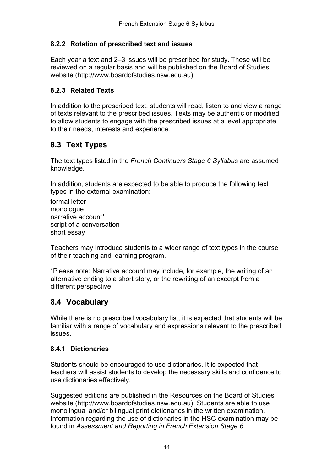#### <span id="page-13-0"></span> **8.2.2 Rotation of prescribed text and issues**

 Each year a text and 2–3 issues will be prescribed for study. These will be reviewed on a regular basis and will be published on the Board of Studies website (http://www.boardofstudies.nsw.edu.au).

#### **8.2.3 Related Texts**

 In addition to the prescribed text, students will read, listen to and view a range of texts relevant to the prescribed issues. Texts may be authentic or modified to allow students to engage with the prescribed issues at a level appropriate to their needs, interests and experience.

### **8.3 Text Types**

 The text types listed in the *French Continuers Stage 6 Syllabus* are assumed knowledge.

 In addition, students are expected to be able to produce the following text types in the external examination:

 script of a conversation formal letter monologue narrative account\* short essay

 Teachers may introduce students to a wider range of text types in the course of their teaching and learning program.

 \*Please note: Narrative account may include, for example, the writing of an alternative ending to a short story, or the rewriting of an excerpt from a different perspective.

### **8.4 Vocabulary**

 While there is no prescribed vocabulary list, it is expected that students will be familiar with a range of vocabulary and expressions relevant to the prescribed issues.

#### **8.4.1 Dictionaries**

 Students should be encouraged to use dictionaries. It is expected that teachers will assist students to develop the necessary skills and confidence to use dictionaries effectively.

 Suggested editions are published in the Resources on the Board of Studies website (http://www.boardofstudies.nsw.edu.au). Students are able to use monolingual and/or bilingual print dictionaries in the written examination. Information regarding the use of dictionaries in the HSC examination may be found in *Assessment and Reporting in French Extension Stage 6*.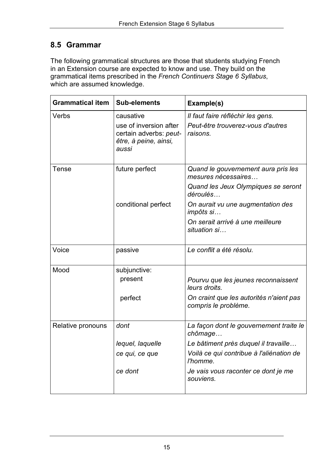### **8.5 Grammar**

 The following grammatical structures are those that students studying French in an Extension course are expected to know and use. They build on the grammatical items prescribed in the *French Continuers Stage 6 Syllabus*, which are assumed knowledge.

| <b>Grammatical item</b> | <b>Sub-elements</b>                                                                             | Example(s)                                                                         |
|-------------------------|-------------------------------------------------------------------------------------------------|------------------------------------------------------------------------------------|
| Verbs                   | causative<br>use of inversion after<br>certain adverbs: peut-<br>être, à peine, ainsi,<br>aussi | Il faut faire réfléchir les gens.<br>Peut-être trouverez-vous d'autres<br>raisons. |
| Tense                   | future perfect                                                                                  | Quand le gouvernement aura pris les<br>mesures nécessaires                         |
|                         |                                                                                                 | Quand les Jeux Olympiques se seront<br>déroulés                                    |
|                         | conditional perfect                                                                             | On aurait vu une augmentation des<br>impôts si                                     |
|                         |                                                                                                 | On serait arrivé à une meilleure<br>situation si                                   |
| Voice                   | passive                                                                                         | Le conflit a été résolu.                                                           |
| Mood                    | subjunctive:                                                                                    |                                                                                    |
|                         | present                                                                                         | Pourvu que les jeunes reconnaissent<br>leurs droits.                               |
|                         | perfect                                                                                         | On craint que les autorités n'aient pas<br>compris le problème.                    |
| Relative pronouns       | dont                                                                                            | La façon dont le gouvernement traite le<br>chômage                                 |
|                         | lequel, laquelle                                                                                | Le bâtiment près duquel il travaille                                               |
|                         | ce qui, ce que                                                                                  | Voilà ce qui contribue à l'aliénation de<br>l'homme.                               |
|                         | ce dont                                                                                         | Je vais vous raconter ce dont je me<br>souviens.                                   |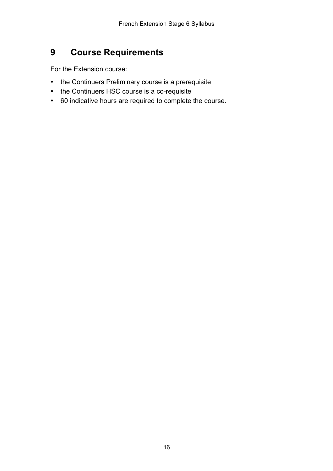#### <span id="page-15-0"></span>**9 Course Requirements**

For the Extension course:

- the Continuers Preliminary course is a prerequisite
- the Continuers HSC course is a co-requisite
- 60 indicative hours are required to complete the course.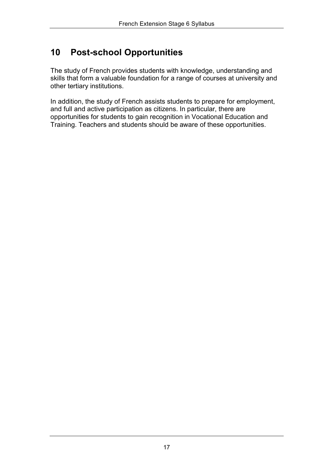# <span id="page-16-0"></span>**10 Post-school Opportunities**

 The study of French provides students with knowledge, understanding and skills that form a valuable foundation for a range of courses at university and other tertiary institutions.

 In addition, the study of French assists students to prepare for employment, and full and active participation as citizens. In particular, there are opportunities for students to gain recognition in Vocational Education and Training. Teachers and students should be aware of these opportunities.